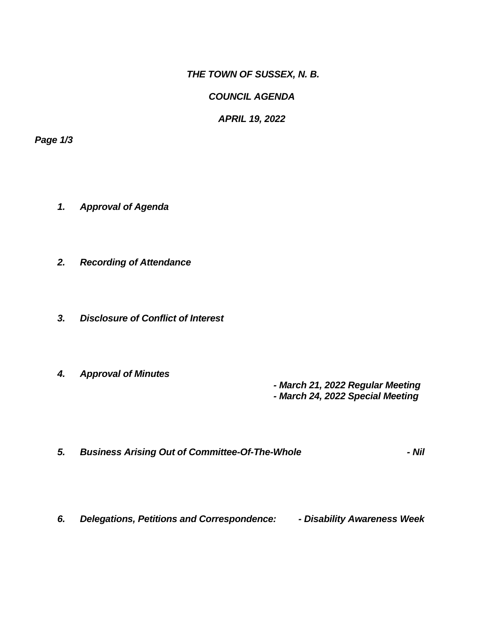*THE TOWN OF SUSSEX, N. B.*

*COUNCIL AGENDA*

*APRIL 19, 2022*

*Page 1/3*

- *1. Approval of Agenda*
- *2. Recording of Attendance*
- *3. Disclosure of Conflict of Interest*
- *4. Approval of Minutes*

 *- March 21, 2022 Regular Meeting - March 24, 2022 Special Meeting*

- *5. Business Arising Out of Committee-Of-The-Whole - Nil*
- *6. Delegations, Petitions and Correspondence: - Disability Awareness Week*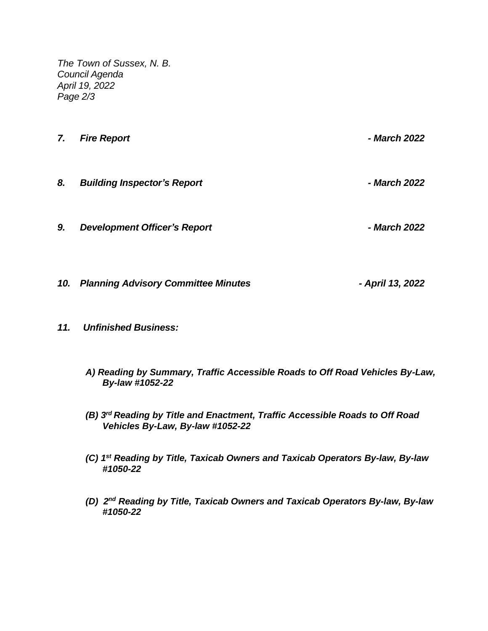*The Town of Sussex, N. B. Council Agenda April 19, 2022 Page 2/3*

- *7. Fire Report - March 2022 8. Building Inspector's Report - March 2022*
- *9. Development Officer's Report - March 2022*
- *10. Planning Advisory Committee Minutes - April 13, 2022*
- *11. Unfinished Business:*
	- *A) Reading by Summary, Traffic Accessible Roads to Off Road Vehicles By-Law, By-law #1052-22*
	- *(B) 3 rd Reading by Title and Enactment, Traffic Accessible Roads to Off Road Vehicles By-Law, By-law #1052-22*
	- *(C) 1 st Reading by Title, Taxicab Owners and Taxicab Operators By-law, By-law #1050-22*
	- *(D) 2nd Reading by Title, Taxicab Owners and Taxicab Operators By-law, By-law #1050-22*